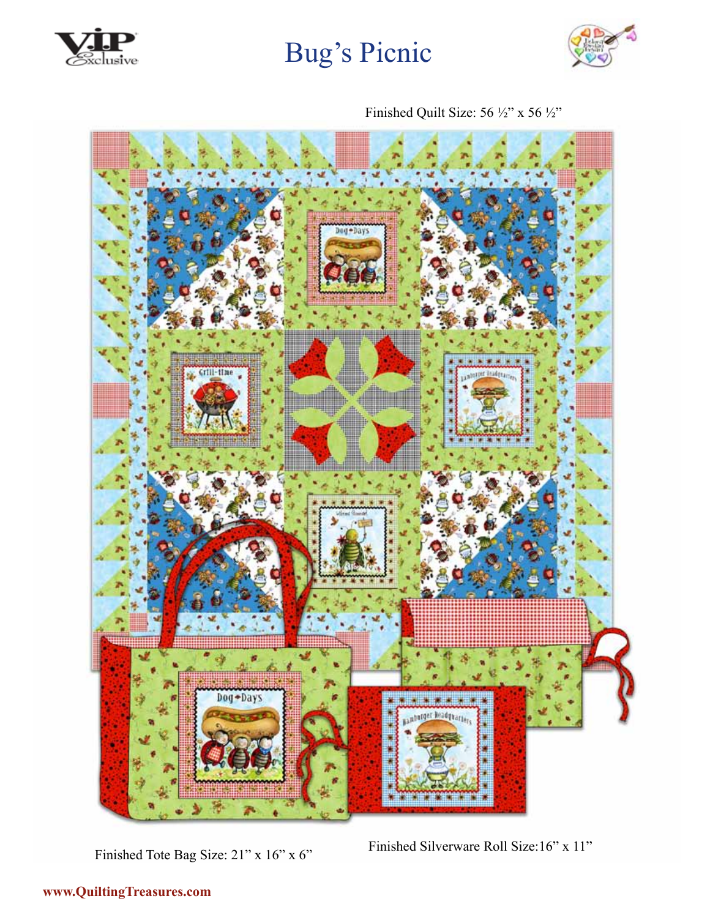



Finished Quilt Size: 56 ½" x 56 ½"



Finished Tote Bag Size: 21" x 16" x 6" Finished Silverware Roll Size: 16" x 11"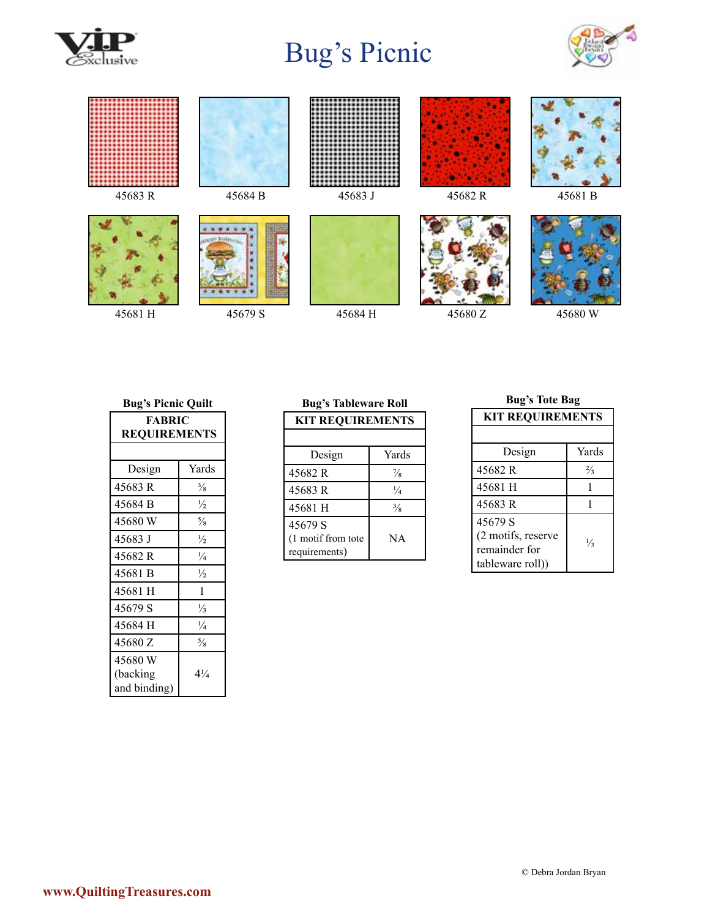





45681 H 45679 S 45684 H 45680 Z 45680 W

#### **Bug's Picnic Quilt**

| <b>FABRIC</b>       |                |
|---------------------|----------------|
| <b>REQUIREMENTS</b> |                |
|                     |                |
| Design              | Yards          |
| 45683 R             | $\frac{3}{8}$  |
| 45684 B             | $\frac{1}{2}$  |
| 45680 W             | $\frac{5}{8}$  |
| 45683 J             | $\frac{1}{2}$  |
| 45682 R             | $\frac{1}{4}$  |
| 45681 B             | $\frac{1}{2}$  |
| 45681 H             | 1              |
| 45679 S             | $\frac{1}{3}$  |
| 45684 H             | $\frac{1}{4}$  |
| 45680 Z             | $\frac{5}{8}$  |
| 45680 W             |                |
| (backing            | $4\frac{1}{4}$ |
| and binding)        |                |

# **Bug's Tableware Roll**

| <b>KIT REQUIREMENTS</b>              |               |
|--------------------------------------|---------------|
|                                      |               |
| Design                               | Yards         |
| 45682 R                              | $\frac{7}{8}$ |
| 45683R                               | $\frac{1}{4}$ |
| 45681 H                              | $\frac{3}{8}$ |
| 45679 S                              |               |
| (1 motif from tote)<br>requirements) | NA            |

# **Bug's Tote Bag**

| <b>KIT REQUIREMENTS</b>             |               |  |
|-------------------------------------|---------------|--|
|                                     |               |  |
| Design                              | Yards         |  |
| 45682 R                             | $\frac{2}{3}$ |  |
| 45681 H                             |               |  |
| 45683R                              |               |  |
| 45679 S                             |               |  |
| (2 motifs, reserve<br>remainder for | $\frac{1}{3}$ |  |
|                                     |               |  |
| (tableware roll)                    |               |  |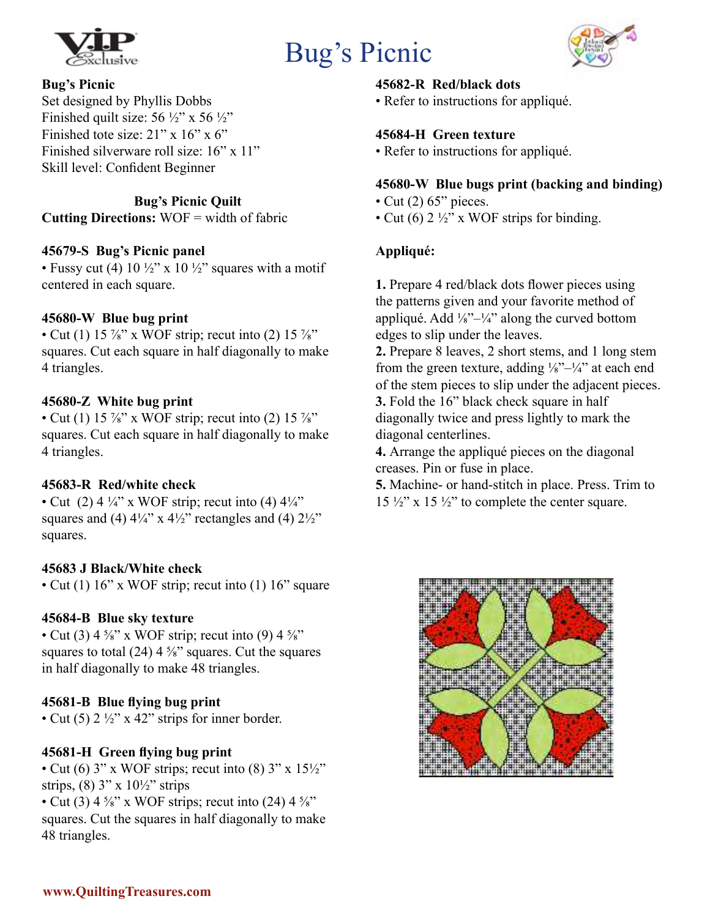



### **Bug's Picnic**

Set designed by Phyllis Dobbs Finished quilt size:  $56 \frac{1}{2}$ " x  $56 \frac{1}{2}$ " Finished tote size:  $21$ " x  $16$ " x  $6$ " Finished silverware roll size: 16" x 11" Skill level: Confident Beginner

**Bug's Picnic Quilt Cutting Directions:** WOF = width of fabric

# **45679-S Bug's Picnic panel**

• Fussy cut (4)  $10\frac{1}{2}$ " x  $10\frac{1}{2}$ " squares with a motif centered in each square.

### **45680-W Blue bug print**

• Cut (1) 15  $\frac{7}{8}$ " x WOF strip; recut into (2) 15  $\frac{7}{8}$ " squares. Cut each square in half diagonally to make 4 triangles.

### **45680-Z White bug print**

• Cut (1) 15  $\frac{7}{8}$ " x WOF strip; recut into (2) 15  $\frac{7}{8}$ " squares. Cut each square in half diagonally to make 4 triangles.

# **45683-R Red/white check**

• Cut (2)  $4\frac{1}{4}$ " x WOF strip; recut into (4)  $4\frac{1}{4}$ " squares and (4)  $4\frac{1}{4}$ " x  $4\frac{1}{2}$ " rectangles and (4)  $2\frac{1}{2}$ " squares.

# **45683 J Black/White check**

• Cut (1) 16" x WOF strip; recut into (1) 16" square

# **45684-B Blue sky texture**

• Cut (3)  $4\frac{5}{8}$ " x WOF strip; recut into (9)  $4\frac{5}{8}$ " squares to total (24)  $4\frac{5}{8}$ " squares. Cut the squares in half diagonally to make 48 triangles.

# **45681-B Blue flying bug print**

• Cut (5)  $2 \frac{1}{2}$ " x 42" strips for inner border.

# **45681-H Green flying bug print**

• Cut (6)  $3$ " x WOF strips; recut into (8)  $3$ " x  $15\frac{1}{2}$ " strips,  $(8)$  3" x  $10\frac{1}{2}$ " strips • Cut (3)  $4\frac{5}{8}$ " x WOF strips; recut into (24)  $4\frac{5}{8}$ "

squares. Cut the squares in half diagonally to make 48 triangles.

### **45682-R Red/black dots**

• Refer to instructions for appliqué.

### **45684-H Green texture**

• Refer to instructions for appliqué.

### **45680-W Blue bugs print (backing and binding)**

- Cut  $(2)$  65" pieces.
- Cut (6)  $2\frac{1}{2}$ " x WOF strips for binding.

# **Appliqué:**

**1.** Prepare 4 red/black dots flower pieces using the patterns given and your favorite method of appliqué. Add  $\frac{1}{8}$ <sup>1</sup>/<sub>4</sub><sup>2</sup> along the curved bottom edges to slip under the leaves.

**2.** Prepare 8 leaves, 2 short stems, and 1 long stem from the green texture, adding  $\frac{1}{8}$ <sup>1</sup>/<sub>4</sub><sup>2</sup> at each end of the stem pieces to slip under the adjacent pieces. **3.** Fold the 16" black check square in half diagonally twice and press lightly to mark the diagonal centerlines.

**4.** Arrange the appliqué pieces on the diagonal creases. Pin or fuse in place.

**5.** Machine- or hand-stitch in place. Press. Trim to  $15\frac{1}{2}$ " x  $15\frac{1}{2}$ " to complete the center square.

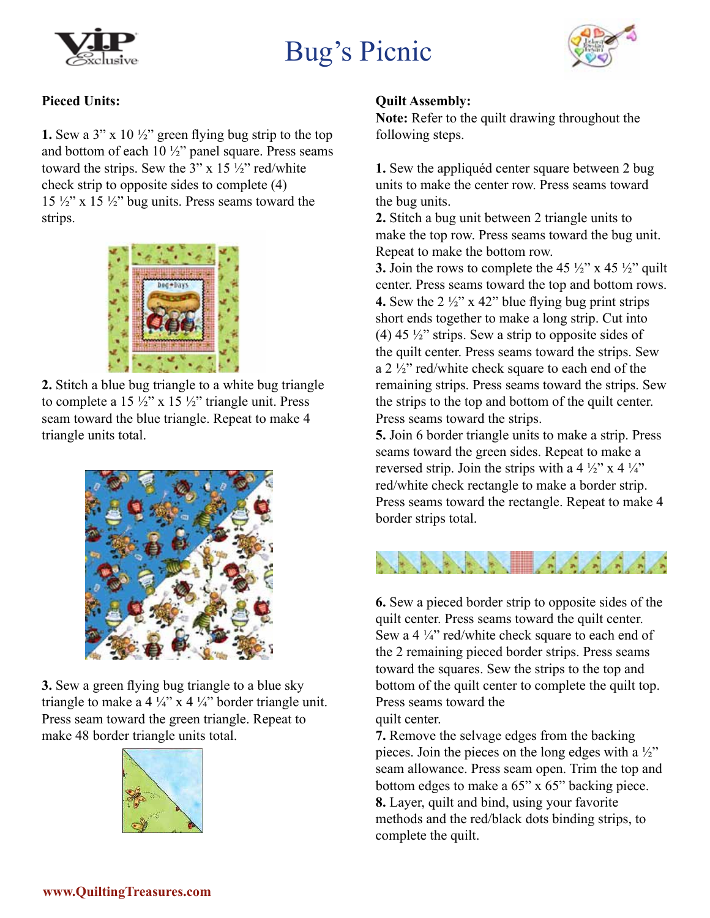



### **Pieced Units:**

**1.** Sew a 3" x 10  $\frac{1}{2}$ " green flying bug strip to the top and bottom of each 10 ½" panel square. Press seams toward the strips. Sew the  $3$ " x 15  $\frac{1}{2}$ " red/white check strip to opposite sides to complete (4)  $15 \frac{1}{2}$ " x  $15 \frac{1}{2}$ " bug units. Press seams toward the strips.



**2.** Stitch a blue bug triangle to a white bug triangle to complete a 15  $\frac{1}{2}$ " x 15  $\frac{1}{2}$ " triangle unit. Press seam toward the blue triangle. Repeat to make 4 triangle units total.



**3.** Sew a green flying bug triangle to a blue sky triangle to make a 4  $\frac{1}{4}$ " x 4  $\frac{1}{4}$ " border triangle unit. Press seam toward the green triangle. Repeat to make 48 border triangle units total.



### **Quilt Assembly:**

**Note:** Refer to the quilt drawing throughout the following steps.

**1.** Sew the appliquéd center square between 2 bug units to make the center row. Press seams toward the bug units.

**2.** Stitch a bug unit between 2 triangle units to make the top row. Press seams toward the bug unit. Repeat to make the bottom row.

**3.** Join the rows to complete the 45  $\frac{1}{2}$  x 45  $\frac{1}{2}$  quilt center. Press seams toward the top and bottom rows. **4.** Sew the  $2\frac{1}{2}$  x 42" blue flying bug print strips short ends together to make a long strip. Cut into (4) 45  $\frac{1}{2}$ " strips. Sew a strip to opposite sides of the quilt center. Press seams toward the strips. Sew a 2 ½" red/white check square to each end of the remaining strips. Press seams toward the strips. Sew the strips to the top and bottom of the quilt center. Press seams toward the strips.

**5.** Join 6 border triangle units to make a strip. Press seams toward the green sides. Repeat to make a reversed strip. Join the strips with a 4  $\frac{1}{2}$  x 4  $\frac{1}{4}$ red/white check rectangle to make a border strip. Press seams toward the rectangle. Repeat to make 4 border strips total.



**6.** Sew a pieced border strip to opposite sides of the quilt center. Press seams toward the quilt center. Sew a 4 1/4" red/white check square to each end of the 2 remaining pieced border strips. Press seams toward the squares. Sew the strips to the top and bottom of the quilt center to complete the quilt top. Press seams toward the quilt center.

**7.** Remove the selvage edges from the backing pieces. Join the pieces on the long edges with a  $\frac{1}{2}$ " seam allowance. Press seam open. Trim the top and bottom edges to make a 65" x 65" backing piece. **8.** Layer, quilt and bind, using your favorite methods and the red/black dots binding strips, to complete the quilt.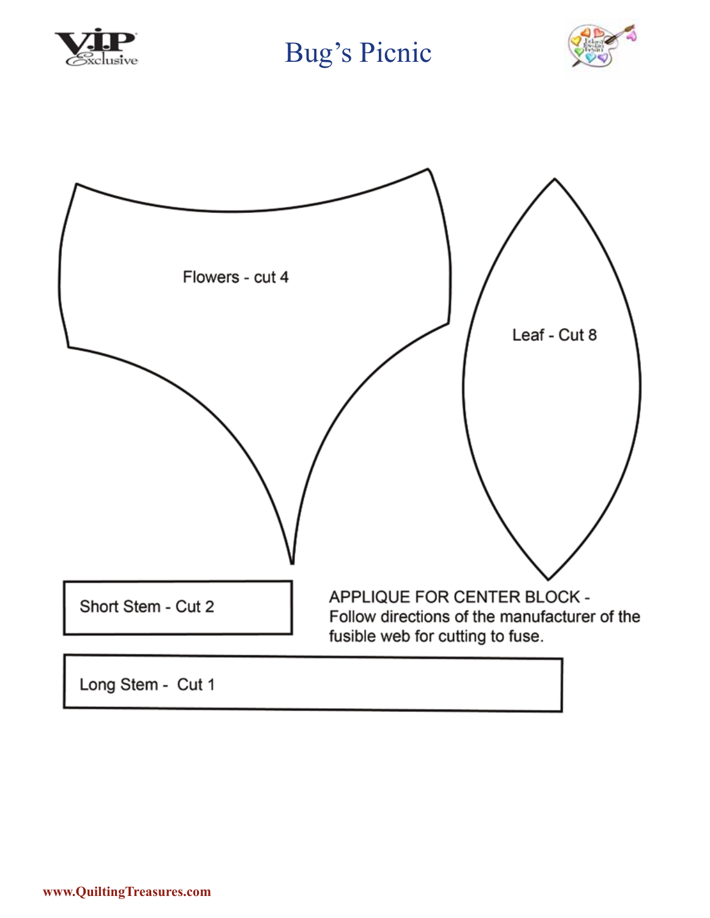



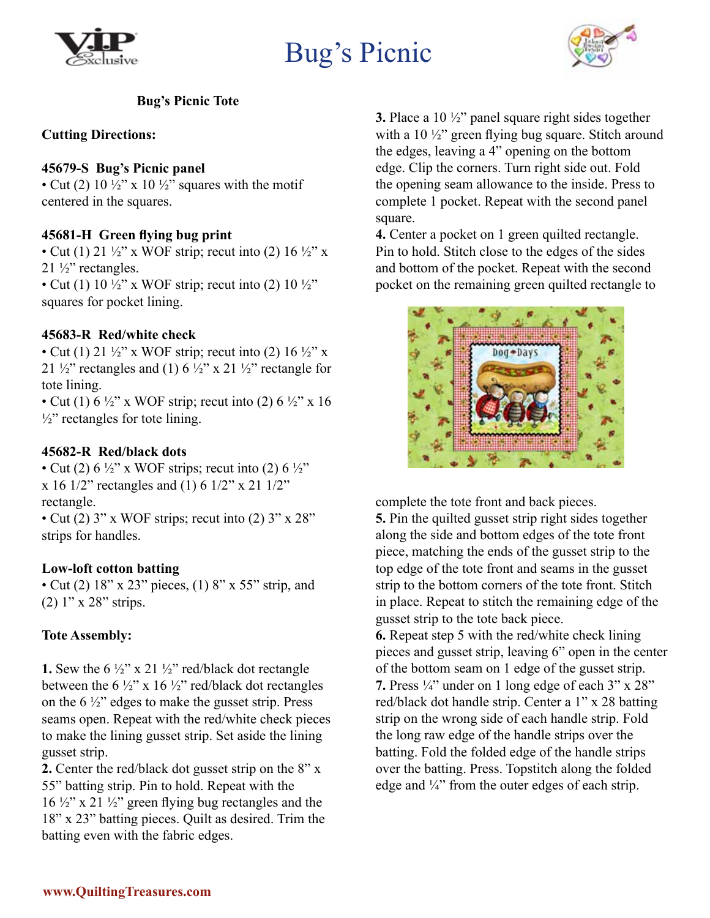



### **Bug's Picnic Tote**

### **Cutting Directions:**

### **45679-S Bug's Picnic panel**

• Cut (2)  $10\frac{1}{2}$ " x  $10\frac{1}{2}$ " squares with the motif centered in the squares.

### **45681-H Green flying bug print**

• Cut (1) 21  $\frac{1}{2}$ " x WOF strip; recut into (2) 16  $\frac{1}{2}$ " x  $21 \frac{1}{2}$ " rectangles.

• Cut (1)  $10\frac{1}{2}$ " x WOF strip; recut into (2)  $10\frac{1}{2}$ " squares for pocket lining.

### **45683-R Red/white check**

• Cut (1) 21  $\frac{1}{2}$ " x WOF strip; recut into (2) 16  $\frac{1}{2}$ " x 21  $\frac{1}{2}$ " rectangles and (1) 6  $\frac{1}{2}$ " x 21  $\frac{1}{2}$ " rectangle for tote lining.

• Cut (1)  $6\frac{1}{2}$ " x WOF strip; recut into (2)  $6\frac{1}{2}$ " x 16  $\frac{1}{2}$ " rectangles for tote lining.

### **45682-R Red/black dots**

• Cut (2)  $6\frac{1}{2}$ " x WOF strips; recut into (2)  $6\frac{1}{2}$ " x 16 1/2" rectangles and (1) 6 1/2" x 21 1/2" rectangle.

• Cut (2)  $3''$  x WOF strips; recut into (2)  $3''$  x  $28''$ strips for handles.

### **Low-loft cotton batting**

• Cut (2) 18" x 23" pieces, (1) 8" x 55" strip, and (2) 1" x 28" strips.

### **Tote Assembly:**

**1.** Sew the 6 ½" x 21 ½" red/black dot rectangle between the 6  $\frac{1}{2}$ " x 16  $\frac{1}{2}$ " red/black dot rectangles on the  $6\frac{1}{2}$  edges to make the gusset strip. Press seams open. Repeat with the red/white check pieces to make the lining gusset strip. Set aside the lining gusset strip.

**2.** Center the red/black dot gusset strip on the 8" x 55" batting strip. Pin to hold. Repeat with the  $16 \frac{1}{2}$ " x 21  $\frac{1}{2}$ " green flying bug rectangles and the 18" x 23" batting pieces. Quilt as desired. Trim the batting even with the fabric edges.

**3.** Place a 10 ½" panel square right sides together with a 10 ½" green flying bug square. Stitch around the edges, leaving a 4" opening on the bottom edge. Clip the corners. Turn right side out. Fold the opening seam allowance to the inside. Press to complete 1 pocket. Repeat with the second panel square.

**4.** Center a pocket on 1 green quilted rectangle. Pin to hold. Stitch close to the edges of the sides and bottom of the pocket. Repeat with the second pocket on the remaining green quilted rectangle to



complete the tote front and back pieces.

**5.** Pin the quilted gusset strip right sides together along the side and bottom edges of the tote front piece, matching the ends of the gusset strip to the top edge of the tote front and seams in the gusset strip to the bottom corners of the tote front. Stitch in place. Repeat to stitch the remaining edge of the gusset strip to the tote back piece.

**6.** Repeat step 5 with the red/white check lining pieces and gusset strip, leaving 6" open in the center of the bottom seam on 1 edge of the gusset strip. **7.** Press  $\frac{1}{4}$ " under on 1 long edge of each 3" x 28" red/black dot handle strip. Center a 1" x 28 batting strip on the wrong side of each handle strip. Fold the long raw edge of the handle strips over the batting. Fold the folded edge of the handle strips over the batting. Press. Topstitch along the folded edge and ¼" from the outer edges of each strip.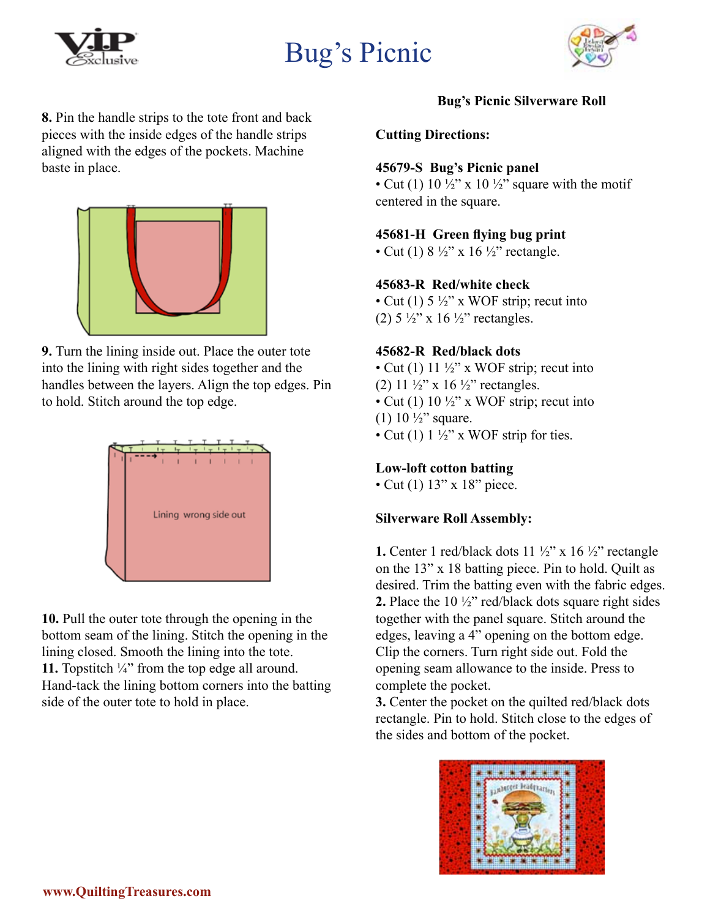



**8.** Pin the handle strips to the tote front and back pieces with the inside edges of the handle strips aligned with the edges of the pockets. Machine baste in place.



**9.** Turn the lining inside out. Place the outer tote into the lining with right sides together and the handles between the layers. Align the top edges. Pin to hold. Stitch around the top edge.



**10.** Pull the outer tote through the opening in the bottom seam of the lining. Stitch the opening in the lining closed. Smooth the lining into the tote. **11.** Topstitch ¼" from the top edge all around. Hand-tack the lining bottom corners into the batting side of the outer tote to hold in place.

# **Bug's Picnic Silverware Roll**

### **Cutting Directions:**

#### **45679-S Bug's Picnic panel**

• Cut (1) 10  $\frac{1}{2}$ " x 10  $\frac{1}{2}$ " square with the motif centered in the square.

### **45681-H Green flying bug print**

• Cut (1)  $8\frac{1}{2}$ " x 16  $\frac{1}{2}$ " rectangle.

### **45683-R Red/white check**

• Cut (1)  $5\frac{1}{2}$ " x WOF strip; recut into (2)  $5\frac{1}{2}$ " x 16 $\frac{1}{2}$ " rectangles.

#### **45682-R Red/black dots**

• Cut (1)  $11 \frac{1}{2}$ " x WOF strip; recut into (2)  $11 \frac{1}{2}$ " x  $16 \frac{1}{2}$ " rectangles. • Cut (1)  $10\frac{1}{2}$ " x WOF strip; recut into (1)  $10 \frac{1}{2}$ " square. • Cut (1)  $1\frac{1}{2}$ " x WOF strip for ties.

### **Low-loft cotton batting**

• Cut (1) 13" x 18" piece.

### **Silverware Roll Assembly:**

**1.** Center 1 red/black dots  $11 \frac{1}{2}$ " x  $16 \frac{1}{2}$ " rectangle on the 13" x 18 batting piece. Pin to hold. Quilt as desired. Trim the batting even with the fabric edges. **2.** Place the 10 ½" red/black dots square right sides together with the panel square. Stitch around the edges, leaving a 4" opening on the bottom edge. Clip the corners. Turn right side out. Fold the opening seam allowance to the inside. Press to complete the pocket.

**3.** Center the pocket on the quilted red/black dots rectangle. Pin to hold. Stitch close to the edges of the sides and bottom of the pocket.